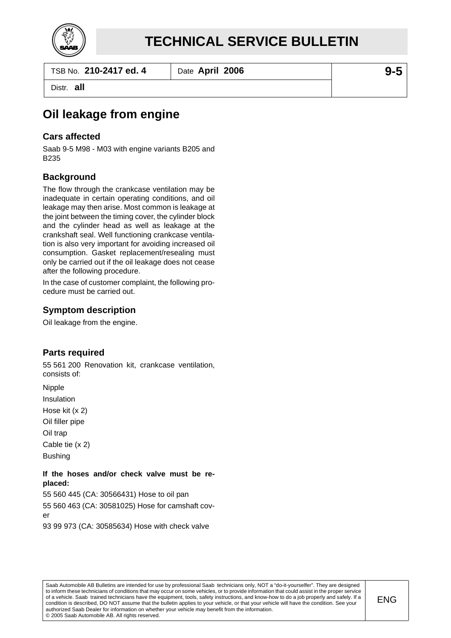

TSB No. **210-2417 ed. 4** Date **April 2006 9-5**

Distr. **all**

# **Oil leakage from engine**

### **Cars affected**

Saab 9-5 M98 - M03 with engine variants B205 and B235

### **Background**

The flow through the crankcase ventilation may be inadequate in certain operating conditions, and oil leakage may then arise. Most common is leakage at the joint between the timing cover, the cylinder block and the cylinder head as well as leakage at the crankshaft seal. Well functioning crankcase ventilation is also very important for avoiding increased oil consumption. Gasket replacement/resealing must only be carried out if the oil leakage does not cease after the following procedure.

In the case of customer complaint, the following procedure must be carried out.

### **Symptom description**

Oil leakage from the engine.

# **Parts required**

55 561 200 Renovation kit, crankcase ventilation, consists of:

Nipple Insulation Hose kit (x 2) Oil filler pipe Oil trap Cable tie (x 2) Bushing

#### **If the hoses and/or check valve must be replaced:**

55 560 445 (CA: 30566431) Hose to oil pan 55 560 463 (CA: 30581025) Hose for camshaft cover 93 99 973 (CA: 30585634) Hose with check valve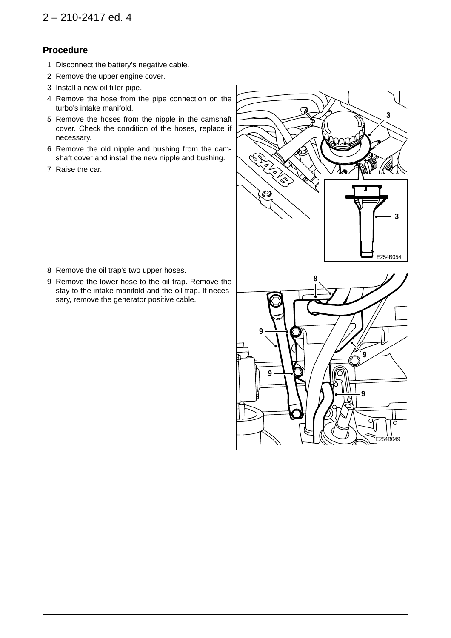## **Procedure**

- 1 Disconnect the battery's negative cable.
- 2 Remove the upper engine cover.
- 3 Install a new oil filler pipe.
- 4 Remove the hose from the pipe connection on the turbo's intake manifold.
- 5 Remove the hoses from the nipple in the camshaft cover. Check the condition of the hoses, replace if necessary.
- 6 Remove the old nipple and bushing from the camshaft cover and install the new nipple and bushing.
- 7 Raise the car.



- 8 Remove the oil trap's two upper hoses.
- 9 Remove the lower hose to the oil trap. Remove the stay to the intake manifold and the oil trap. If necessary, remove the generator positive cable.

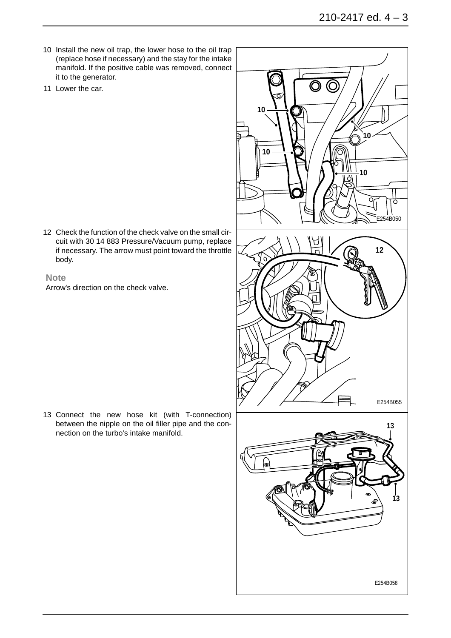- 10 Install the new oil trap, the lower hose to the oil trap (replace hose if necessary) and the stay for the intake manifold. If the positive cable was removed, connect it to the generator.
- 11 Lower the car.

12 Check the function of the check valve on the small circuit with 30 14 883 Pressure/Vacuum pump, replace if necessary. The arrow must point toward the throttle body.

#### **Note**

Arrow's direction on the check valve.

13 Connect the new hose kit (with T-connection) between the nipple on the oil filler pipe and the connection on the turbo's intake manifold.



E254B058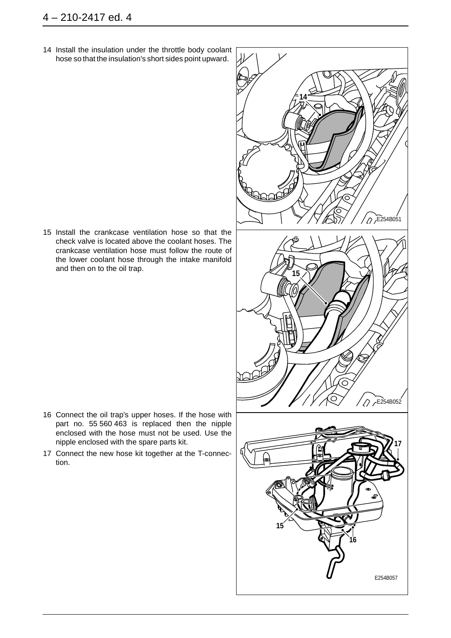14 Install the insulation under the throttle body coolant hose so that the insulation's short sides point upward.

15 Install the crankcase ventilation hose so that the check valve is located above the coolant hoses. The crankcase ventilation hose must follow the route of the lower coolant hose through the intake manifold and then on to the oil trap.

- 16 Connect the oil trap's upper hoses. If the hose with part no. 55 560 463 is replaced then the nipple enclosed with the hose must not be used. Use the nipple enclosed with the spare parts kit.
- 17 Connect the new hose kit together at the T-connection.